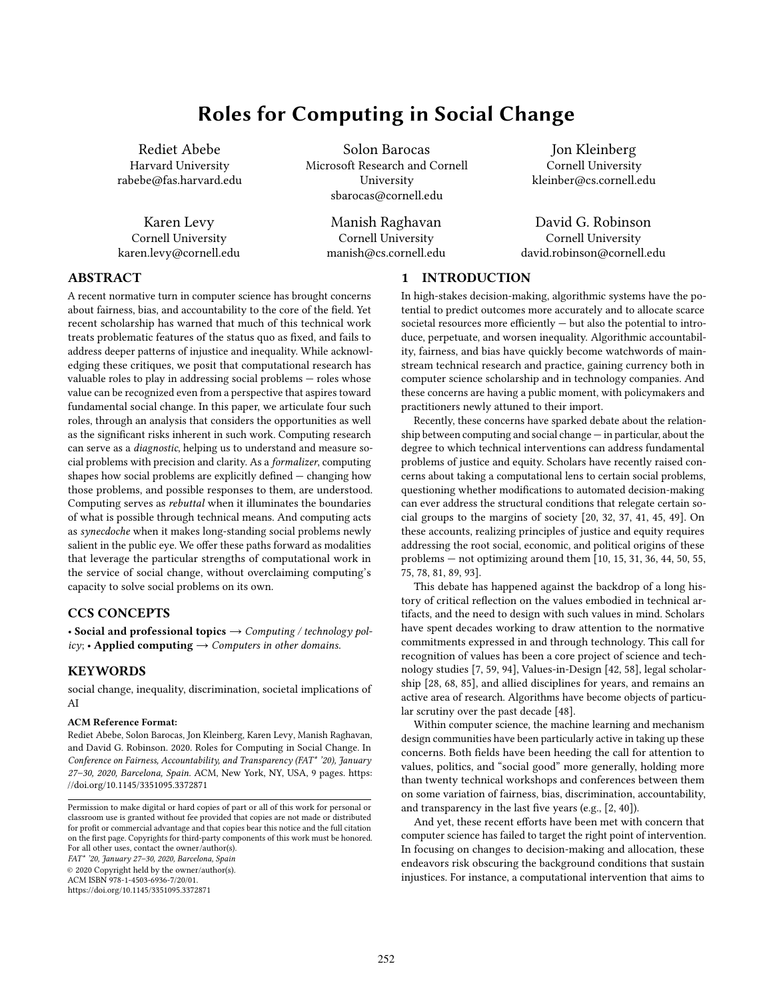# Roles for Computing in Social Change

Rediet Abebe Harvard University rabebe@fas.harvard.edu

Karen Levy Cornell University karen.levy@cornell.edu

Solon Barocas Microsoft Research and Cornell University sbarocas@cornell.edu

> Manish Raghavan Cornell University manish@cs.cornell.edu

Jon Kleinberg Cornell University kleinber@cs.cornell.edu

David G. Robinson Cornell University david.robinson@cornell.edu

## ABSTRACT

A recent normative turn in computer science has brought concerns about fairness, bias, and accountability to the core of the field. Yet recent scholarship has warned that much of this technical work treats problematic features of the status quo as fixed, and fails to address deeper patterns of injustice and inequality. While acknowledging these critiques, we posit that computational research has valuable roles to play in addressing social problems — roles whose value can be recognized even from a perspective that aspires toward fundamental social change. In this paper, we articulate four such roles, through an analysis that considers the opportunities as well as the significant risks inherent in such work. Computing research can serve as a diagnostic, helping us to understand and measure social problems with precision and clarity. As a formalizer, computing shapes how social problems are explicitly defined — changing how those problems, and possible responses to them, are understood. Computing serves as rebuttal when it illuminates the boundaries of what is possible through technical means. And computing acts as synecdoche when it makes long-standing social problems newly salient in the public eye. We offer these paths forward as modalities that leverage the particular strengths of computational work in the service of social change, without overclaiming computing's capacity to solve social problems on its own.

## CCS CONCEPTS

• Social and professional topics  $\rightarrow$  Computing / technology policy; • Applied computing  $\rightarrow$  Computers in other domains.

## KEYWORDS

social change, inequality, discrimination, societal implications of AI

#### ACM Reference Format:

Rediet Abebe, Solon Barocas, Jon Kleinberg, Karen Levy, Manish Raghavan, and David G. Robinson. 2020. Roles for Computing in Social Change. In Conference on Fairness, Accountability, and Transparency (FAT\* '20), January 27–30, 2020, Barcelona, Spain. ACM, New York, NY, USA, [9](#page-8-0) pages. [https:](https://doi.org/10.1145/3351095.3372871) [//doi.org/10.1145/3351095.3372871](https://doi.org/10.1145/3351095.3372871)

FAT\* '20, January 27–30, 2020, Barcelona, Spain

© 2020 Copyright held by the owner/author(s).

ACM ISBN 978-1-4503-6936-7/20/01.

<https://doi.org/10.1145/3351095.3372871>

## 1 INTRODUCTION

In high-stakes decision-making, algorithmic systems have the potential to predict outcomes more accurately and to allocate scarce societal resources more efficiently — but also the potential to introduce, perpetuate, and worsen inequality. Algorithmic accountability, fairness, and bias have quickly become watchwords of mainstream technical research and practice, gaining currency both in computer science scholarship and in technology companies. And these concerns are having a public moment, with policymakers and practitioners newly attuned to their import.

Recently, these concerns have sparked debate about the relationship between computing and social change — in particular, about the degree to which technical interventions can address fundamental problems of justice and equity. Scholars have recently raised concerns about taking a computational lens to certain social problems, questioning whether modifications to automated decision-making can ever address the structural conditions that relegate certain social groups to the margins of society [\[20,](#page-7-0) [32,](#page-7-1) [37,](#page-8-1) [41,](#page-8-2) [45,](#page-8-3) [49\]](#page-8-4). On these accounts, realizing principles of justice and equity requires addressing the root social, economic, and political origins of these problems — not optimizing around them [\[10,](#page-7-2) [15,](#page-7-3) [31,](#page-7-4) [36,](#page-7-5) [44,](#page-8-5) [50,](#page-8-6) [55,](#page-8-7) [75,](#page-8-8) [78,](#page-8-9) [81,](#page-8-10) [89,](#page-8-11) [93\]](#page-8-12).

This debate has happened against the backdrop of a long history of critical reflection on the values embodied in technical artifacts, and the need to design with such values in mind. Scholars have spent decades working to draw attention to the normative commitments expressed in and through technology. This call for recognition of values has been a core project of science and technology studies [\[7,](#page-7-6) [59,](#page-8-13) [94\]](#page-8-14), Values-in-Design [\[42,](#page-8-15) [58\]](#page-8-16), legal scholarship [\[28,](#page-7-7) [68,](#page-8-17) [85\]](#page-8-18), and allied disciplines for years, and remains an active area of research. Algorithms have become objects of particular scrutiny over the past decade [\[48\]](#page-8-19).

Within computer science, the machine learning and mechanism design communities have been particularly active in taking up these concerns. Both fields have been heeding the call for attention to values, politics, and "social good" more generally, holding more than twenty technical workshops and conferences between them on some variation of fairness, bias, discrimination, accountability, and transparency in the last five years (e.g., [\[2,](#page-7-8) [40\]](#page-8-20)).

And yet, these recent efforts have been met with concern that computer science has failed to target the right point of intervention. In focusing on changes to decision-making and allocation, these endeavors risk obscuring the background conditions that sustain injustices. For instance, a computational intervention that aims to

Permission to make digital or hard copies of part or all of this work for personal or classroom use is granted without fee provided that copies are not made or distributed for profit or commercial advantage and that copies bear this notice and the full citation on the first page. Copyrights for third-party components of this work must be honored. For all other uses, contact the owner/author(s).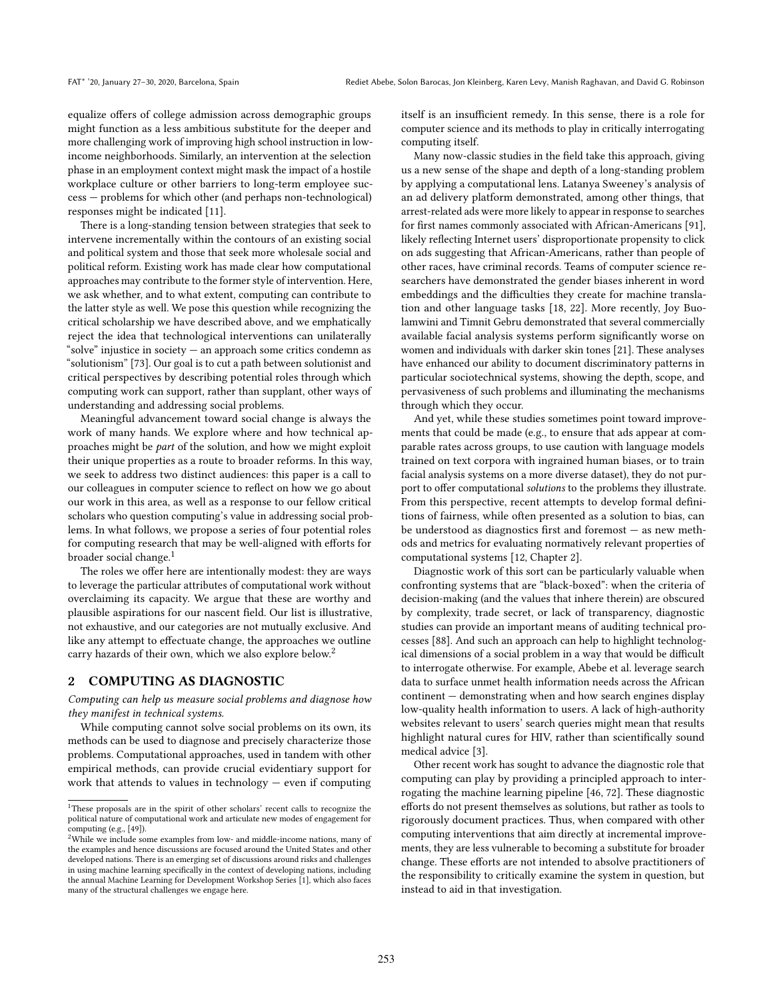equalize offers of college admission across demographic groups might function as a less ambitious substitute for the deeper and more challenging work of improving high school instruction in lowincome neighborhoods. Similarly, an intervention at the selection phase in an employment context might mask the impact of a hostile workplace culture or other barriers to long-term employee success — problems for which other (and perhaps non-technological) responses might be indicated [\[11\]](#page-7-9).

There is a long-standing tension between strategies that seek to intervene incrementally within the contours of an existing social and political system and those that seek more wholesale social and political reform. Existing work has made clear how computational approaches may contribute to the former style of intervention. Here, we ask whether, and to what extent, computing can contribute to the latter style as well. We pose this question while recognizing the critical scholarship we have described above, and we emphatically reject the idea that technological interventions can unilaterally "solve" injustice in society  $-$  an approach some critics condemn as "solutionism" [\[73\]](#page-8-21). Our goal is to cut a path between solutionist and critical perspectives by describing potential roles through which computing work can support, rather than supplant, other ways of understanding and addressing social problems.

Meaningful advancement toward social change is always the work of many hands. We explore where and how technical approaches might be part of the solution, and how we might exploit their unique properties as a route to broader reforms. In this way, we seek to address two distinct audiences: this paper is a call to our colleagues in computer science to reflect on how we go about our work in this area, as well as a response to our fellow critical scholars who question computing's value in addressing social problems. In what follows, we propose a series of four potential roles for computing research that may be well-aligned with efforts for broader social change.<sup>[1](#page-1-0)</sup>

The roles we offer here are intentionally modest: they are ways to leverage the particular attributes of computational work without overclaiming its capacity. We argue that these are worthy and plausible aspirations for our nascent field. Our list is illustrative, not exhaustive, and our categories are not mutually exclusive. And like any attempt to effectuate change, the approaches we outline carry hazards of their own, which we also explore below.[2](#page-1-1)

## 2 COMPUTING AS DIAGNOSTIC

Computing can help us measure social problems and diagnose how they manifest in technical systems.

While computing cannot solve social problems on its own, its methods can be used to diagnose and precisely characterize those problems. Computational approaches, used in tandem with other empirical methods, can provide crucial evidentiary support for work that attends to values in technology — even if computing itself is an insufficient remedy. In this sense, there is a role for computer science and its methods to play in critically interrogating computing itself.

Many now-classic studies in the field take this approach, giving us a new sense of the shape and depth of a long-standing problem by applying a computational lens. Latanya Sweeney's analysis of an ad delivery platform demonstrated, among other things, that arrest-related ads were more likely to appear in response to searches for first names commonly associated with African-Americans [\[91\]](#page-8-22), likely reflecting Internet users' disproportionate propensity to click on ads suggesting that African-Americans, rather than people of other races, have criminal records. Teams of computer science researchers have demonstrated the gender biases inherent in word embeddings and the difficulties they create for machine translation and other language tasks [\[18,](#page-7-11) [22\]](#page-7-12). More recently, Joy Buolamwini and Timnit Gebru demonstrated that several commercially available facial analysis systems perform significantly worse on women and individuals with darker skin tones [\[21\]](#page-7-13). These analyses have enhanced our ability to document discriminatory patterns in particular sociotechnical systems, showing the depth, scope, and pervasiveness of such problems and illuminating the mechanisms through which they occur.

And yet, while these studies sometimes point toward improvements that could be made (e.g., to ensure that ads appear at comparable rates across groups, to use caution with language models trained on text corpora with ingrained human biases, or to train facial analysis systems on a more diverse dataset), they do not purport to offer computational solutions to the problems they illustrate. From this perspective, recent attempts to develop formal definitions of fairness, while often presented as a solution to bias, can be understood as diagnostics first and foremost — as new methods and metrics for evaluating normatively relevant properties of computational systems [\[12,](#page-7-14) Chapter 2].

Diagnostic work of this sort can be particularly valuable when confronting systems that are "black-boxed": when the criteria of decision-making (and the values that inhere therein) are obscured by complexity, trade secret, or lack of transparency, diagnostic studies can provide an important means of auditing technical processes [\[88\]](#page-8-23). And such an approach can help to highlight technological dimensions of a social problem in a way that would be difficult to interrogate otherwise. For example, Abebe et al. leverage search data to surface unmet health information needs across the African continent — demonstrating when and how search engines display low-quality health information to users. A lack of high-authority websites relevant to users' search queries might mean that results highlight natural cures for HIV, rather than scientifically sound medical advice [\[3\]](#page-7-15).

Other recent work has sought to advance the diagnostic role that computing can play by providing a principled approach to interrogating the machine learning pipeline [\[46,](#page-8-24) [72\]](#page-8-25). These diagnostic efforts do not present themselves as solutions, but rather as tools to rigorously document practices. Thus, when compared with other computing interventions that aim directly at incremental improvements, they are less vulnerable to becoming a substitute for broader change. These efforts are not intended to absolve practitioners of the responsibility to critically examine the system in question, but instead to aid in that investigation.

<span id="page-1-0"></span> $1$ <sup>1</sup>These proposals are in the spirit of other scholars' recent calls to recognize the political nature of computational work and articulate new modes of engagement for computing (e.g., [\[49\]](#page-8-4)).

<span id="page-1-1"></span> $2$ While we include some examples from low- and middle-income nations, many of the examples and hence discussions are focused around the United States and other developed nations. There is an emerging set of discussions around risks and challenges in using machine learning specifically in the context of developing nations, including the annual Machine Learning for Development Workshop Series [\[1\]](#page-7-10), which also faces many of the structural challenges we engage here.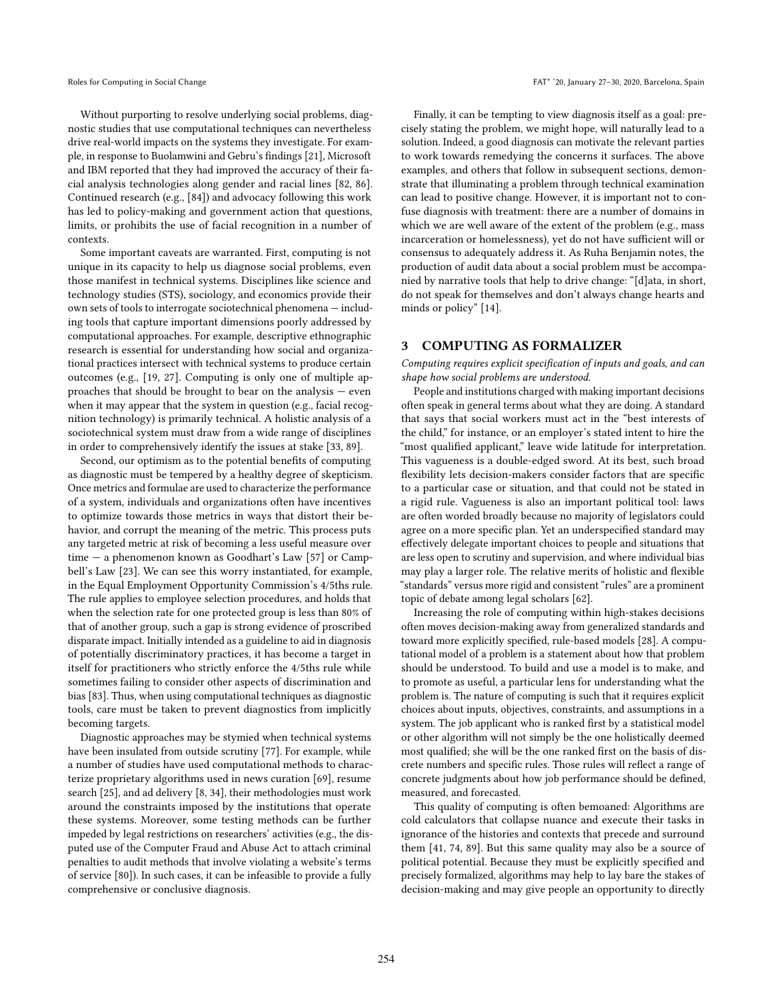Without purporting to resolve underlying social problems, diagnostic studies that use computational techniques can nevertheless drive real-world impacts on the systems they investigate. For example, in response to Buolamwini and Gebru's findings [\[21\]](#page-7-13), Microsoft and IBM reported that they had improved the accuracy of their facial analysis technologies along gender and racial lines [\[82,](#page-8-26) [86\]](#page-8-27). Continued research (e.g., [\[84\]](#page-8-28)) and advocacy following this work has led to policy-making and government action that questions, limits, or prohibits the use of facial recognition in a number of contexts.

Some important caveats are warranted. First, computing is not unique in its capacity to help us diagnose social problems, even those manifest in technical systems. Disciplines like science and technology studies (STS), sociology, and economics provide their own sets of tools to interrogate sociotechnical phenomena — including tools that capture important dimensions poorly addressed by computational approaches. For example, descriptive ethnographic research is essential for understanding how social and organizational practices intersect with technical systems to produce certain outcomes (e.g., [\[19,](#page-7-16) [27\]](#page-7-17). Computing is only one of multiple approaches that should be brought to bear on the analysis — even when it may appear that the system in question (e.g., facial recognition technology) is primarily technical. A holistic analysis of a sociotechnical system must draw from a wide range of disciplines in order to comprehensively identify the issues at stake [\[33,](#page-7-18) [89\]](#page-8-11).

Second, our optimism as to the potential benefits of computing as diagnostic must be tempered by a healthy degree of skepticism. Once metrics and formulae are used to characterize the performance of a system, individuals and organizations often have incentives to optimize towards those metrics in ways that distort their behavior, and corrupt the meaning of the metric. This process puts any targeted metric at risk of becoming a less useful measure over time — a phenomenon known as Goodhart's Law [\[57\]](#page-8-29) or Campbell's Law [\[23\]](#page-7-19). We can see this worry instantiated, for example, in the Equal Employment Opportunity Commission's 4/5ths rule. The rule applies to employee selection procedures, and holds that when the selection rate for one protected group is less than 80% of that of another group, such a gap is strong evidence of proscribed disparate impact. Initially intended as a guideline to aid in diagnosis of potentially discriminatory practices, it has become a target in itself for practitioners who strictly enforce the 4/5ths rule while sometimes failing to consider other aspects of discrimination and bias [\[83\]](#page-8-30). Thus, when using computational techniques as diagnostic tools, care must be taken to prevent diagnostics from implicitly becoming targets.

Diagnostic approaches may be stymied when technical systems have been insulated from outside scrutiny [\[77\]](#page-8-31). For example, while a number of studies have used computational methods to characterize proprietary algorithms used in news curation [\[69\]](#page-8-32), resume search [\[25\]](#page-7-20), and ad delivery [\[8,](#page-7-21) [34\]](#page-7-22), their methodologies must work around the constraints imposed by the institutions that operate these systems. Moreover, some testing methods can be further impeded by legal restrictions on researchers' activities (e.g., the disputed use of the Computer Fraud and Abuse Act to attach criminal penalties to audit methods that involve violating a website's terms of service [\[80\]](#page-8-33)). In such cases, it can be infeasible to provide a fully comprehensive or conclusive diagnosis.

Finally, it can be tempting to view diagnosis itself as a goal: precisely stating the problem, we might hope, will naturally lead to a solution. Indeed, a good diagnosis can motivate the relevant parties to work towards remedying the concerns it surfaces. The above examples, and others that follow in subsequent sections, demonstrate that illuminating a problem through technical examination can lead to positive change. However, it is important not to confuse diagnosis with treatment: there are a number of domains in which we are well aware of the extent of the problem (e.g., mass incarceration or homelessness), yet do not have sufficient will or consensus to adequately address it. As Ruha Benjamin notes, the production of audit data about a social problem must be accompanied by narrative tools that help to drive change: "[d]ata, in short, do not speak for themselves and don't always change hearts and minds or policy" [\[14\]](#page-7-23).

## 3 COMPUTING AS FORMALIZER

Computing requires explicit specification of inputs and goals, and can shape how social problems are understood.

People and institutions charged with making important decisions often speak in general terms about what they are doing. A standard that says that social workers must act in the "best interests of the child," for instance, or an employer's stated intent to hire the "most qualified applicant," leave wide latitude for interpretation. This vagueness is a double-edged sword. At its best, such broad flexibility lets decision-makers consider factors that are specific to a particular case or situation, and that could not be stated in a rigid rule. Vagueness is also an important political tool: laws are often worded broadly because no majority of legislators could agree on a more specific plan. Yet an underspecified standard may effectively delegate important choices to people and situations that are less open to scrutiny and supervision, and where individual bias may play a larger role. The relative merits of holistic and flexible "standards" versus more rigid and consistent "rules" are a prominent topic of debate among legal scholars [\[62\]](#page-8-34).

Increasing the role of computing within high-stakes decisions often moves decision-making away from generalized standards and toward more explicitly specified, rule-based models [\[28\]](#page-7-7). A computational model of a problem is a statement about how that problem should be understood. To build and use a model is to make, and to promote as useful, a particular lens for understanding what the problem is. The nature of computing is such that it requires explicit choices about inputs, objectives, constraints, and assumptions in a system. The job applicant who is ranked first by a statistical model or other algorithm will not simply be the one holistically deemed most qualified; she will be the one ranked first on the basis of discrete numbers and specific rules. Those rules will reflect a range of concrete judgments about how job performance should be defined, measured, and forecasted.

This quality of computing is often bemoaned: Algorithms are cold calculators that collapse nuance and execute their tasks in ignorance of the histories and contexts that precede and surround them [\[41,](#page-8-2) [74,](#page-8-35) [89\]](#page-8-11). But this same quality may also be a source of political potential. Because they must be explicitly specified and precisely formalized, algorithms may help to lay bare the stakes of decision-making and may give people an opportunity to directly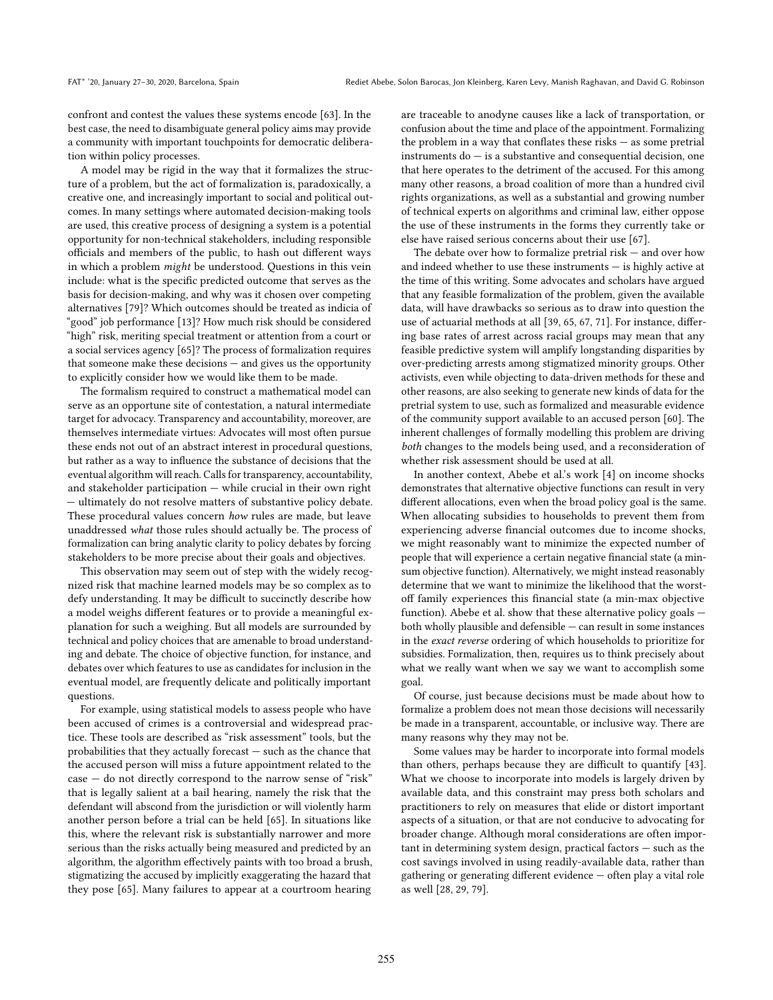confront and contest the values these systems encode [\[63\]](#page-8-36). In the best case, the need to disambiguate general policy aims may provide a community with important touchpoints for democratic deliberation within policy processes.

A model may be rigid in the way that it formalizes the structure of a problem, but the act of formalization is, paradoxically, a creative one, and increasingly important to social and political outcomes. In many settings where automated decision-making tools are used, this creative process of designing a system is a potential opportunity for non-technical stakeholders, including responsible officials and members of the public, to hash out different ways in which a problem might be understood. Questions in this vein include: what is the specific predicted outcome that serves as the basis for decision-making, and why was it chosen over competing alternatives [\[79\]](#page-8-37)? Which outcomes should be treated as indicia of "good" job performance [\[13\]](#page-7-24)? How much risk should be considered "high" risk, meriting special treatment or attention from a court or a social services agency [\[65\]](#page-8-38)? The process of formalization requires that someone make these decisions — and gives us the opportunity to explicitly consider how we would like them to be made.

The formalism required to construct a mathematical model can serve as an opportune site of contestation, a natural intermediate target for advocacy. Transparency and accountability, moreover, are themselves intermediate virtues: Advocates will most often pursue these ends not out of an abstract interest in procedural questions, but rather as a way to influence the substance of decisions that the eventual algorithm will reach. Calls for transparency, accountability, and stakeholder participation — while crucial in their own right — ultimately do not resolve matters of substantive policy debate. These procedural values concern how rules are made, but leave unaddressed what those rules should actually be. The process of formalization can bring analytic clarity to policy debates by forcing stakeholders to be more precise about their goals and objectives.

This observation may seem out of step with the widely recognized risk that machine learned models may be so complex as to defy understanding. It may be difficult to succinctly describe how a model weighs different features or to provide a meaningful explanation for such a weighing. But all models are surrounded by technical and policy choices that are amenable to broad understanding and debate. The choice of objective function, for instance, and debates over which features to use as candidates for inclusion in the eventual model, are frequently delicate and politically important questions.

For example, using statistical models to assess people who have been accused of crimes is a controversial and widespread practice. These tools are described as "risk assessment" tools, but the probabilities that they actually forecast — such as the chance that the accused person will miss a future appointment related to the case — do not directly correspond to the narrow sense of "risk" that is legally salient at a bail hearing, namely the risk that the defendant will abscond from the jurisdiction or will violently harm another person before a trial can be held [\[65\]](#page-8-38). In situations like this, where the relevant risk is substantially narrower and more serious than the risks actually being measured and predicted by an algorithm, the algorithm effectively paints with too broad a brush, stigmatizing the accused by implicitly exaggerating the hazard that they pose [\[65\]](#page-8-38). Many failures to appear at a courtroom hearing

are traceable to anodyne causes like a lack of transportation, or confusion about the time and place of the appointment. Formalizing the problem in a way that conflates these risks — as some pretrial instruments  $do - is a$  substantive and consequential decision, one that here operates to the detriment of the accused. For this among many other reasons, a broad coalition of more than a hundred civil rights organizations, as well as a substantial and growing number of technical experts on algorithms and criminal law, either oppose the use of these instruments in the forms they currently take or else have raised serious concerns about their use [\[67\]](#page-8-39).

The debate over how to formalize pretrial risk  $-$  and over how and indeed whether to use these instruments — is highly active at the time of this writing. Some advocates and scholars have argued that any feasible formalization of the problem, given the available data, will have drawbacks so serious as to draw into question the use of actuarial methods at all [\[39,](#page-8-40) [65,](#page-8-38) [67,](#page-8-39) [71\]](#page-8-41). For instance, differing base rates of arrest across racial groups may mean that any feasible predictive system will amplify longstanding disparities by over-predicting arrests among stigmatized minority groups. Other activists, even while objecting to data-driven methods for these and other reasons, are also seeking to generate new kinds of data for the pretrial system to use, such as formalized and measurable evidence of the community support available to an accused person [\[60\]](#page-8-42). The inherent challenges of formally modelling this problem are driving both changes to the models being used, and a reconsideration of whether risk assessment should be used at all.

In another context, Abebe et al.'s work [\[4\]](#page-7-25) on income shocks demonstrates that alternative objective functions can result in very different allocations, even when the broad policy goal is the same. When allocating subsidies to households to prevent them from experiencing adverse financial outcomes due to income shocks, we might reasonably want to minimize the expected number of people that will experience a certain negative financial state (a minsum objective function). Alternatively, we might instead reasonably determine that we want to minimize the likelihood that the worstoff family experiences this financial state (a min-max objective function). Abebe et al. show that these alternative policy goals both wholly plausible and defensible — can result in some instances in the exact reverse ordering of which households to prioritize for subsidies. Formalization, then, requires us to think precisely about what we really want when we say we want to accomplish some goal.

Of course, just because decisions must be made about how to formalize a problem does not mean those decisions will necessarily be made in a transparent, accountable, or inclusive way. There are many reasons why they may not be.

Some values may be harder to incorporate into formal models than others, perhaps because they are difficult to quantify [\[43\]](#page-8-43). What we choose to incorporate into models is largely driven by available data, and this constraint may press both scholars and practitioners to rely on measures that elide or distort important aspects of a situation, or that are not conducive to advocating for broader change. Although moral considerations are often important in determining system design, practical factors — such as the cost savings involved in using readily-available data, rather than gathering or generating different evidence — often play a vital role as well [\[28,](#page-7-7) [29,](#page-7-26) [79\]](#page-8-37).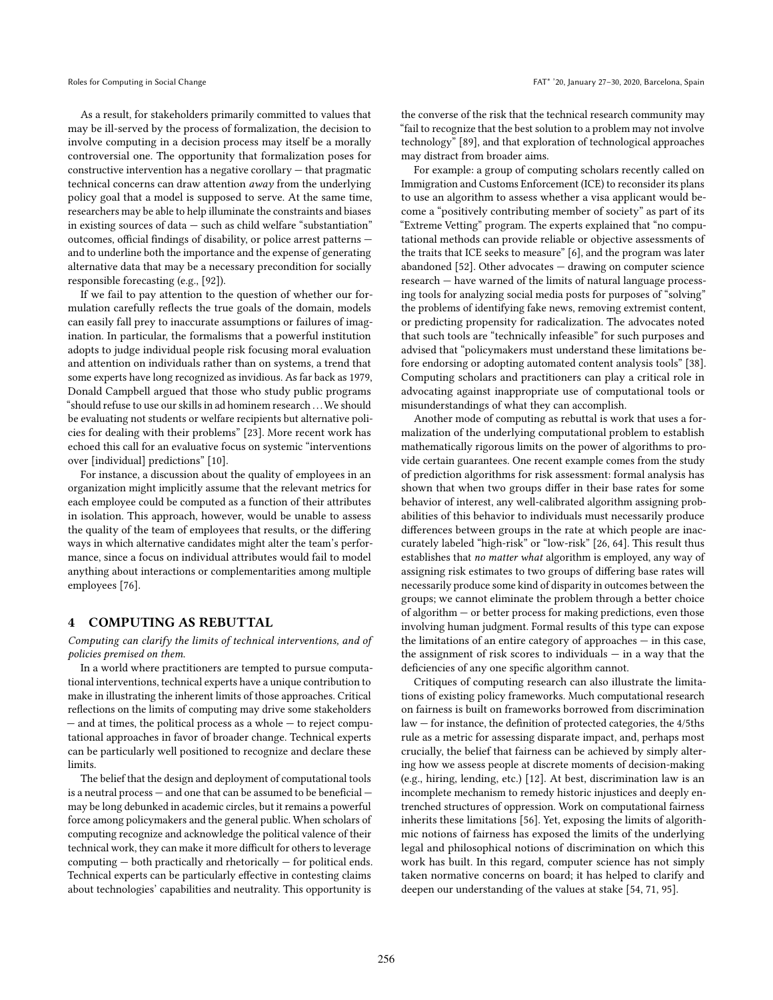As a result, for stakeholders primarily committed to values that may be ill-served by the process of formalization, the decision to involve computing in a decision process may itself be a morally controversial one. The opportunity that formalization poses for constructive intervention has a negative corollary — that pragmatic technical concerns can draw attention away from the underlying policy goal that a model is supposed to serve. At the same time, researchers may be able to help illuminate the constraints and biases in existing sources of data — such as child welfare "substantiation" outcomes, official findings of disability, or police arrest patterns and to underline both the importance and the expense of generating alternative data that may be a necessary precondition for socially responsible forecasting (e.g., [\[92\]](#page-8-44)).

If we fail to pay attention to the question of whether our formulation carefully reflects the true goals of the domain, models can easily fall prey to inaccurate assumptions or failures of imagination. In particular, the formalisms that a powerful institution adopts to judge individual people risk focusing moral evaluation and attention on individuals rather than on systems, a trend that some experts have long recognized as invidious. As far back as 1979, Donald Campbell argued that those who study public programs "should refuse to use our skills in ad hominem research . . .We should be evaluating not students or welfare recipients but alternative policies for dealing with their problems" [\[23\]](#page-7-19). More recent work has echoed this call for an evaluative focus on systemic "interventions over [individual] predictions" [\[10\]](#page-7-2).

For instance, a discussion about the quality of employees in an organization might implicitly assume that the relevant metrics for each employee could be computed as a function of their attributes in isolation. This approach, however, would be unable to assess the quality of the team of employees that results, or the differing ways in which alternative candidates might alter the team's performance, since a focus on individual attributes would fail to model anything about interactions or complementarities among multiple employees [\[76\]](#page-8-45).

#### 4 COMPUTING AS REBUTTAL

Computing can clarify the limits of technical interventions, and of policies premised on them.

In a world where practitioners are tempted to pursue computational interventions, technical experts have a unique contribution to make in illustrating the inherent limits of those approaches. Critical reflections on the limits of computing may drive some stakeholders — and at times, the political process as a whole — to reject computational approaches in favor of broader change. Technical experts can be particularly well positioned to recognize and declare these limits.

The belief that the design and deployment of computational tools is a neutral process — and one that can be assumed to be beneficial may be long debunked in academic circles, but it remains a powerful force among policymakers and the general public. When scholars of computing recognize and acknowledge the political valence of their technical work, they can make it more difficult for others to leverage computing — both practically and rhetorically — for political ends. Technical experts can be particularly effective in contesting claims about technologies' capabilities and neutrality. This opportunity is

the converse of the risk that the technical research community may "fail to recognize that the best solution to a problem may not involve technology" [\[89\]](#page-8-11), and that exploration of technological approaches may distract from broader aims.

For example: a group of computing scholars recently called on Immigration and Customs Enforcement (ICE) to reconsider its plans to use an algorithm to assess whether a visa applicant would become a "positively contributing member of society" as part of its "Extreme Vetting" program. The experts explained that "no computational methods can provide reliable or objective assessments of the traits that ICE seeks to measure" [\[6\]](#page-7-27), and the program was later abandoned [\[52\]](#page-8-46). Other advocates — drawing on computer science research — have warned of the limits of natural language processing tools for analyzing social media posts for purposes of "solving" the problems of identifying fake news, removing extremist content, or predicting propensity for radicalization. The advocates noted that such tools are "technically infeasible" for such purposes and advised that "policymakers must understand these limitations before endorsing or adopting automated content analysis tools" [\[38\]](#page-8-47). Computing scholars and practitioners can play a critical role in advocating against inappropriate use of computational tools or misunderstandings of what they can accomplish.

Another mode of computing as rebuttal is work that uses a formalization of the underlying computational problem to establish mathematically rigorous limits on the power of algorithms to provide certain guarantees. One recent example comes from the study of prediction algorithms for risk assessment: formal analysis has shown that when two groups differ in their base rates for some behavior of interest, any well-calibrated algorithm assigning probabilities of this behavior to individuals must necessarily produce differences between groups in the rate at which people are inaccurately labeled "high-risk" or "low-risk" [\[26,](#page-7-28) [64\]](#page-8-48). This result thus establishes that no matter what algorithm is employed, any way of assigning risk estimates to two groups of differing base rates will necessarily produce some kind of disparity in outcomes between the groups; we cannot eliminate the problem through a better choice of algorithm — or better process for making predictions, even those involving human judgment. Formal results of this type can expose the limitations of an entire category of approaches — in this case, the assignment of risk scores to individuals — in a way that the deficiencies of any one specific algorithm cannot.

Critiques of computing research can also illustrate the limitations of existing policy frameworks. Much computational research on fairness is built on frameworks borrowed from discrimination law — for instance, the definition of protected categories, the 4/5ths rule as a metric for assessing disparate impact, and, perhaps most crucially, the belief that fairness can be achieved by simply altering how we assess people at discrete moments of decision-making (e.g., hiring, lending, etc.) [\[12\]](#page-7-14). At best, discrimination law is an incomplete mechanism to remedy historic injustices and deeply entrenched structures of oppression. Work on computational fairness inherits these limitations [\[56\]](#page-8-49). Yet, exposing the limits of algorithmic notions of fairness has exposed the limits of the underlying legal and philosophical notions of discrimination on which this work has built. In this regard, computer science has not simply taken normative concerns on board; it has helped to clarify and deepen our understanding of the values at stake [\[54,](#page-8-50) [71,](#page-8-41) [95\]](#page-8-51).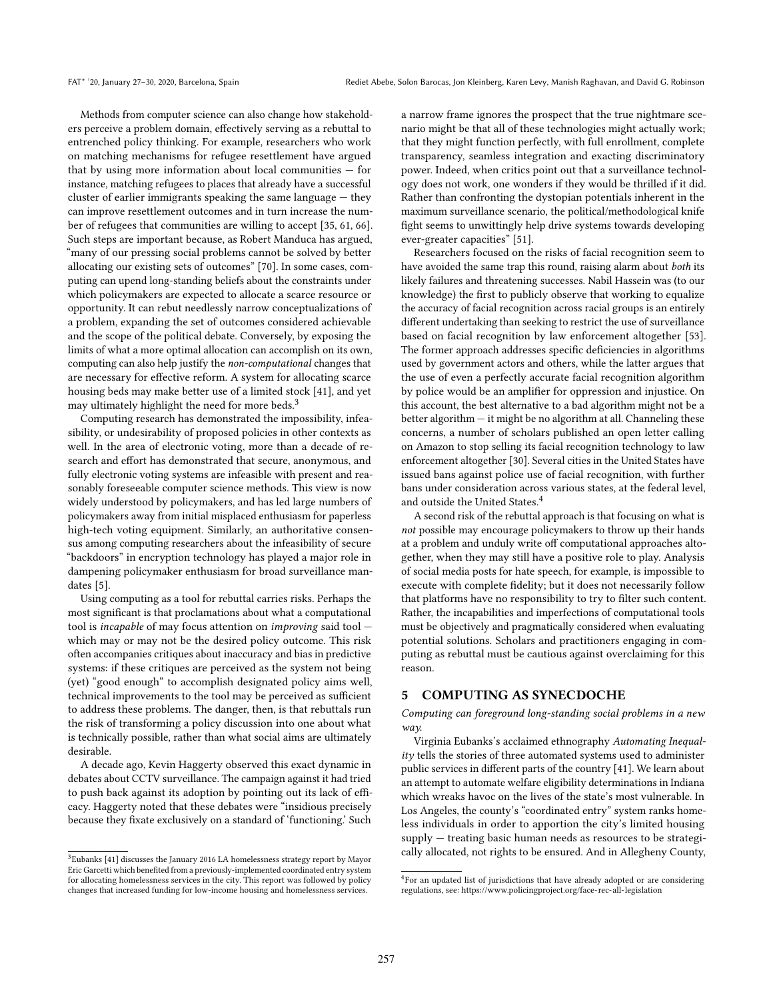Methods from computer science can also change how stakeholders perceive a problem domain, effectively serving as a rebuttal to entrenched policy thinking. For example, researchers who work on matching mechanisms for refugee resettlement have argued that by using more information about local communities  $-$  for instance, matching refugees to places that already have a successful cluster of earlier immigrants speaking the same language — they can improve resettlement outcomes and in turn increase the number of refugees that communities are willing to accept [\[35,](#page-7-29) [61,](#page-8-52) [66\]](#page-8-53). Such steps are important because, as Robert Manduca has argued, "many of our pressing social problems cannot be solved by better allocating our existing sets of outcomes" [\[70\]](#page-8-54). In some cases, computing can upend long-standing beliefs about the constraints under which policymakers are expected to allocate a scarce resource or opportunity. It can rebut needlessly narrow conceptualizations of a problem, expanding the set of outcomes considered achievable and the scope of the political debate. Conversely, by exposing the limits of what a more optimal allocation can accomplish on its own, computing can also help justify the non-computational changes that are necessary for effective reform. A system for allocating scarce housing beds may make better use of a limited stock [\[41\]](#page-8-2), and yet may ultimately highlight the need for more beds.<sup>[3](#page-5-0)</sup>

Computing research has demonstrated the impossibility, infeasibility, or undesirability of proposed policies in other contexts as well. In the area of electronic voting, more than a decade of research and effort has demonstrated that secure, anonymous, and fully electronic voting systems are infeasible with present and reasonably foreseeable computer science methods. This view is now widely understood by policymakers, and has led large numbers of policymakers away from initial misplaced enthusiasm for paperless high-tech voting equipment. Similarly, an authoritative consensus among computing researchers about the infeasibility of secure "backdoors" in encryption technology has played a major role in dampening policymaker enthusiasm for broad surveillance mandates [\[5\]](#page-7-30).

Using computing as a tool for rebuttal carries risks. Perhaps the most significant is that proclamations about what a computational tool is incapable of may focus attention on improving said tool which may or may not be the desired policy outcome. This risk often accompanies critiques about inaccuracy and bias in predictive systems: if these critiques are perceived as the system not being (yet) "good enough" to accomplish designated policy aims well, technical improvements to the tool may be perceived as sufficient to address these problems. The danger, then, is that rebuttals run the risk of transforming a policy discussion into one about what is technically possible, rather than what social aims are ultimately desirable.

A decade ago, Kevin Haggerty observed this exact dynamic in debates about CCTV surveillance. The campaign against it had tried to push back against its adoption by pointing out its lack of efficacy. Haggerty noted that these debates were "insidious precisely because they fixate exclusively on a standard of 'functioning.' Such

a narrow frame ignores the prospect that the true nightmare scenario might be that all of these technologies might actually work; that they might function perfectly, with full enrollment, complete transparency, seamless integration and exacting discriminatory power. Indeed, when critics point out that a surveillance technology does not work, one wonders if they would be thrilled if it did. Rather than confronting the dystopian potentials inherent in the maximum surveillance scenario, the political/methodological knife fight seems to unwittingly help drive systems towards developing ever-greater capacities" [\[51\]](#page-8-55).

Researchers focused on the risks of facial recognition seem to have avoided the same trap this round, raising alarm about both its likely failures and threatening successes. Nabil Hassein was (to our knowledge) the first to publicly observe that working to equalize the accuracy of facial recognition across racial groups is an entirely different undertaking than seeking to restrict the use of surveillance based on facial recognition by law enforcement altogether [\[53\]](#page-8-56). The former approach addresses specific deficiencies in algorithms used by government actors and others, while the latter argues that the use of even a perfectly accurate facial recognition algorithm by police would be an amplifier for oppression and injustice. On this account, the best alternative to a bad algorithm might not be a better algorithm — it might be no algorithm at all. Channeling these concerns, a number of scholars published an open letter calling on Amazon to stop selling its facial recognition technology to law enforcement altogether [\[30\]](#page-7-31). Several cities in the United States have issued bans against police use of facial recognition, with further bans under consideration across various states, at the federal level, and outside the United States.<sup>[4](#page-5-1)</sup>

A second risk of the rebuttal approach is that focusing on what is not possible may encourage policymakers to throw up their hands at a problem and unduly write off computational approaches altogether, when they may still have a positive role to play. Analysis of social media posts for hate speech, for example, is impossible to execute with complete fidelity; but it does not necessarily follow that platforms have no responsibility to try to filter such content. Rather, the incapabilities and imperfections of computational tools must be objectively and pragmatically considered when evaluating potential solutions. Scholars and practitioners engaging in computing as rebuttal must be cautious against overclaiming for this reason.

## 5 COMPUTING AS SYNECDOCHE

Computing can foreground long-standing social problems in a new way.

Virginia Eubanks's acclaimed ethnography Automating Inequality tells the stories of three automated systems used to administer public services in different parts of the country [\[41\]](#page-8-2). We learn about an attempt to automate welfare eligibility determinations in Indiana which wreaks havoc on the lives of the state's most vulnerable. In Los Angeles, the county's "coordinated entry" system ranks homeless individuals in order to apportion the city's limited housing supply — treating basic human needs as resources to be strategically allocated, not rights to be ensured. And in Allegheny County,

<span id="page-5-0"></span> $^3\rm Eubanks$  [\[41\]](#page-8-2) discusses the January 2016 LA homelessness strategy report by Mayor Eric Garcetti which benefited from a previously-implemented coordinated entry system for allocating homelessness services in the city. This report was followed by policy changes that increased funding for low-income housing and homelessness services.

<span id="page-5-1"></span><sup>&</sup>lt;sup>4</sup>For an updated list of jurisdictions that have already adopted or are considering regulations, see:<https://www.policingproject.org/face-rec-all-legislation>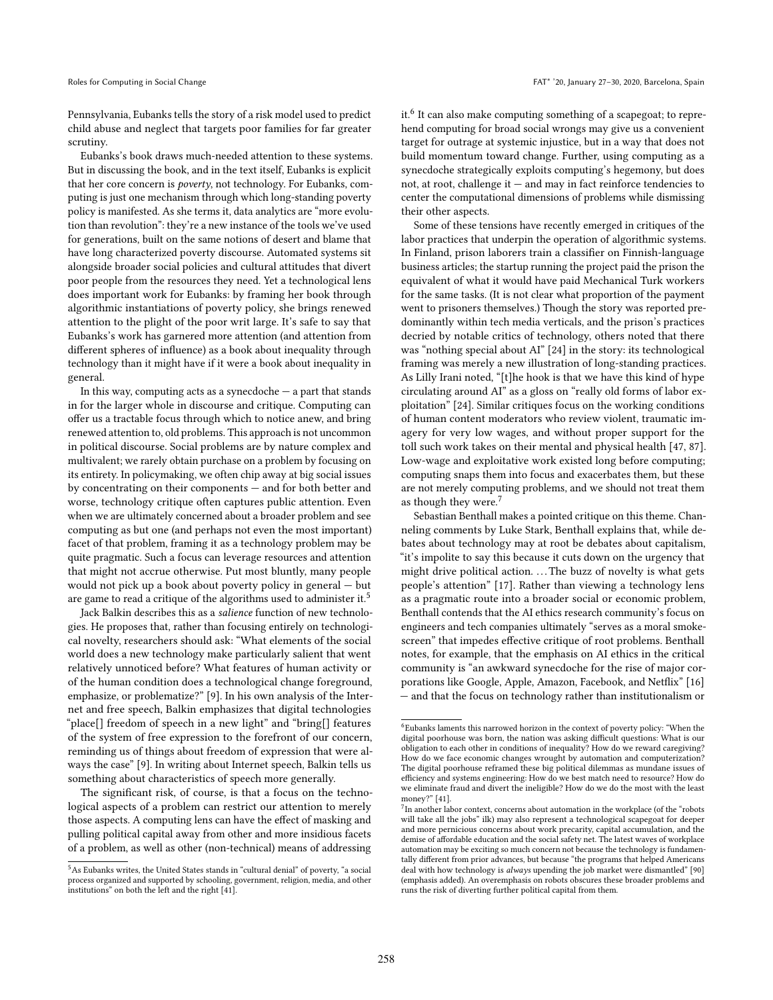Pennsylvania, Eubanks tells the story of a risk model used to predict child abuse and neglect that targets poor families for far greater scrutiny.

Eubanks's book draws much-needed attention to these systems. But in discussing the book, and in the text itself, Eubanks is explicit that her core concern is poverty, not technology. For Eubanks, computing is just one mechanism through which long-standing poverty policy is manifested. As she terms it, data analytics are "more evolution than revolution": they're a new instance of the tools we've used for generations, built on the same notions of desert and blame that have long characterized poverty discourse. Automated systems sit alongside broader social policies and cultural attitudes that divert poor people from the resources they need. Yet a technological lens does important work for Eubanks: by framing her book through algorithmic instantiations of poverty policy, she brings renewed attention to the plight of the poor writ large. It's safe to say that Eubanks's work has garnered more attention (and attention from different spheres of influence) as a book about inequality through technology than it might have if it were a book about inequality in general.

In this way, computing acts as a synecdoche  $-$  a part that stands in for the larger whole in discourse and critique. Computing can offer us a tractable focus through which to notice anew, and bring renewed attention to, old problems. This approach is not uncommon in political discourse. Social problems are by nature complex and multivalent; we rarely obtain purchase on a problem by focusing on its entirety. In policymaking, we often chip away at big social issues by concentrating on their components — and for both better and worse, technology critique often captures public attention. Even when we are ultimately concerned about a broader problem and see computing as but one (and perhaps not even the most important) facet of that problem, framing it as a technology problem may be quite pragmatic. Such a focus can leverage resources and attention that might not accrue otherwise. Put most bluntly, many people would not pick up a book about poverty policy in general — but are game to read a critique of the algorithms used to administer it.<sup>[5](#page-6-0)</sup>

Jack Balkin describes this as a salience function of new technologies. He proposes that, rather than focusing entirely on technological novelty, researchers should ask: "What elements of the social world does a new technology make particularly salient that went relatively unnoticed before? What features of human activity or of the human condition does a technological change foreground, emphasize, or problematize?" [\[9\]](#page-7-32). In his own analysis of the Internet and free speech, Balkin emphasizes that digital technologies "place[] freedom of speech in a new light" and "bring[] features of the system of free expression to the forefront of our concern, reminding us of things about freedom of expression that were always the case" [\[9\]](#page-7-32). In writing about Internet speech, Balkin tells us something about characteristics of speech more generally.

The significant risk, of course, is that a focus on the technological aspects of a problem can restrict our attention to merely those aspects. A computing lens can have the effect of masking and pulling political capital away from other and more insidious facets of a problem, as well as other (non-technical) means of addressing

it.<sup>[6](#page-6-1)</sup> It can also make computing something of a scapegoat; to reprehend computing for broad social wrongs may give us a convenient target for outrage at systemic injustice, but in a way that does not build momentum toward change. Further, using computing as a synecdoche strategically exploits computing's hegemony, but does not, at root, challenge it  $-$  and may in fact reinforce tendencies to center the computational dimensions of problems while dismissing their other aspects.

Some of these tensions have recently emerged in critiques of the labor practices that underpin the operation of algorithmic systems. In Finland, prison laborers train a classifier on Finnish-language business articles; the startup running the project paid the prison the equivalent of what it would have paid Mechanical Turk workers for the same tasks. (It is not clear what proportion of the payment went to prisoners themselves.) Though the story was reported predominantly within tech media verticals, and the prison's practices decried by notable critics of technology, others noted that there was "nothing special about AI" [\[24\]](#page-7-33) in the story: its technological framing was merely a new illustration of long-standing practices. As Lilly Irani noted, "[t]he hook is that we have this kind of hype circulating around AI" as a gloss on "really old forms of labor exploitation" [\[24\]](#page-7-33). Similar critiques focus on the working conditions of human content moderators who review violent, traumatic imagery for very low wages, and without proper support for the toll such work takes on their mental and physical health [\[47,](#page-8-57) [87\]](#page-8-58). Low-wage and exploitative work existed long before computing; computing snaps them into focus and exacerbates them, but these are not merely computing problems, and we should not treat them as though they were.<sup>[7](#page-6-2)</sup>

Sebastian Benthall makes a pointed critique on this theme. Channeling comments by Luke Stark, Benthall explains that, while debates about technology may at root be debates about capitalism, "it's impolite to say this because it cuts down on the urgency that might drive political action. ... The buzz of novelty is what gets people's attention" [\[17\]](#page-7-34). Rather than viewing a technology lens as a pragmatic route into a broader social or economic problem, Benthall contends that the AI ethics research community's focus on engineers and tech companies ultimately "serves as a moral smokescreen" that impedes effective critique of root problems. Benthall notes, for example, that the emphasis on AI ethics in the critical community is "an awkward synecdoche for the rise of major corporations like Google, Apple, Amazon, Facebook, and Netflix" [\[16\]](#page-7-35) — and that the focus on technology rather than institutionalism or

<span id="page-6-0"></span><sup>5</sup>As Eubanks writes, the United States stands in "cultural denial" of poverty, "a social process organized and supported by schooling, government, religion, media, and other institutions" on both the left and the right [\[41\]](#page-8-2).

<span id="page-6-1"></span> $^6$ Eubanks laments this narrowed horizon in the context of poverty policy: "When the  $\,$ digital poorhouse was born, the nation was asking difficult questions: What is our obligation to each other in conditions of inequality? How do we reward caregiving? How do we face economic changes wrought by automation and computerization? The digital poorhouse reframed these big political dilemmas as mundane issues of efficiency and systems engineering: How do we best match need to resource? How do we eliminate fraud and divert the ineligible? How do we do the most with the least money?" [\[41\]](#page-8-2).

<span id="page-6-2"></span><sup>&</sup>lt;sup>7</sup>In another labor context, concerns about automation in the workplace (of the "robots will take all the jobs" ilk) may also represent a technological scapegoat for deeper and more pernicious concerns about work precarity, capital accumulation, and the demise of affordable education and the social safety net. The latest waves of workplace automation may be exciting so much concern not because the technology is fundamentally different from prior advances, but because "the programs that helped Americans deal with how technology is always upending the job market were dismantled" [\[90\]](#page-8-59) (emphasis added). An overemphasis on robots obscures these broader problems and runs the risk of diverting further political capital from them.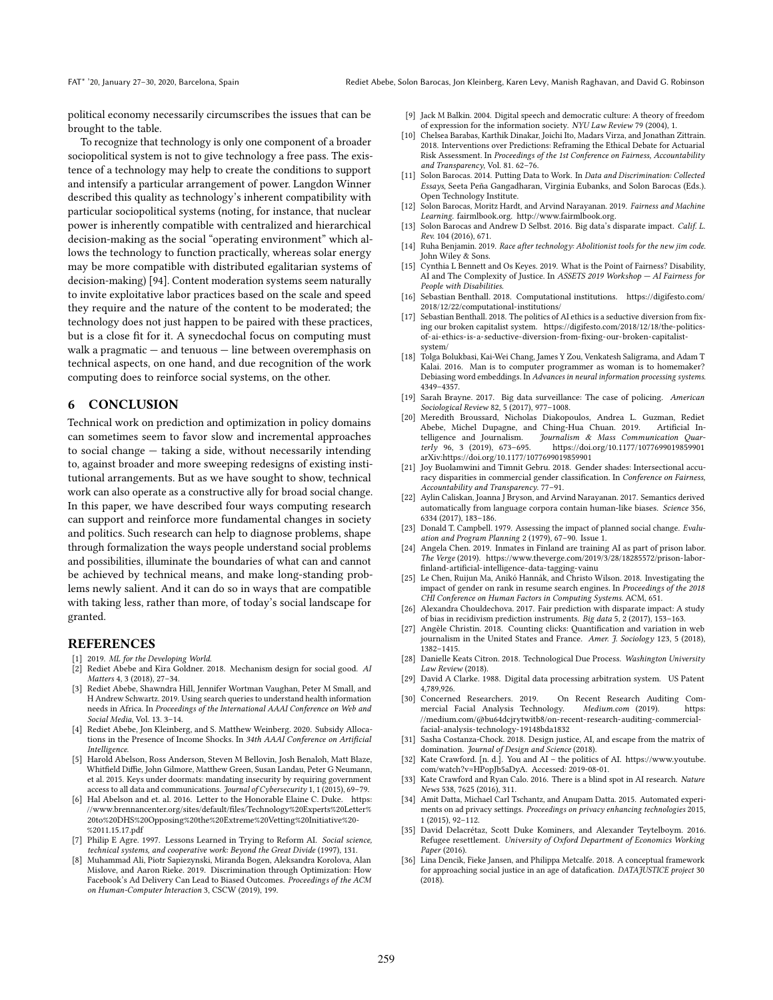political economy necessarily circumscribes the issues that can be brought to the table.

To recognize that technology is only one component of a broader sociopolitical system is not to give technology a free pass. The existence of a technology may help to create the conditions to support and intensify a particular arrangement of power. Langdon Winner described this quality as technology's inherent compatibility with particular sociopolitical systems (noting, for instance, that nuclear power is inherently compatible with centralized and hierarchical decision-making as the social "operating environment" which allows the technology to function practically, whereas solar energy may be more compatible with distributed egalitarian systems of decision-making) [\[94\]](#page-8-14). Content moderation systems seem naturally to invite exploitative labor practices based on the scale and speed they require and the nature of the content to be moderated; the technology does not just happen to be paired with these practices, but is a close fit for it. A synecdochal focus on computing must walk a pragmatic — and tenuous — line between overemphasis on technical aspects, on one hand, and due recognition of the work computing does to reinforce social systems, on the other.

#### 6 CONCLUSION

Technical work on prediction and optimization in policy domains can sometimes seem to favor slow and incremental approaches to social change — taking a side, without necessarily intending to, against broader and more sweeping redesigns of existing institutional arrangements. But as we have sought to show, technical work can also operate as a constructive ally for broad social change. In this paper, we have described four ways computing research can support and reinforce more fundamental changes in society and politics. Such research can help to diagnose problems, shape through formalization the ways people understand social problems and possibilities, illuminate the boundaries of what can and cannot be achieved by technical means, and make long-standing problems newly salient. And it can do so in ways that are compatible with taking less, rather than more, of today's social landscape for granted.

#### **REFERENCES**

- <span id="page-7-10"></span>[1] 2019. ML for the Developing World.
- <span id="page-7-8"></span>[2] Rediet Abebe and Kira Goldner. 2018. Mechanism design for social good. AI Matters 4, 3 (2018), 27–34.
- <span id="page-7-15"></span>[3] Rediet Abebe, Shawndra Hill, Jennifer Wortman Vaughan, Peter M Small, and H Andrew Schwartz. 2019. Using search queries to understand health information needs in Africa. In Proceedings of the International AAAI Conference on Web and Social Media, Vol. 13. 3–14.
- <span id="page-7-25"></span>[4] Rediet Abebe, Jon Kleinberg, and S. Matthew Weinberg. 2020. Subsidy Allocations in the Presence of Income Shocks. In 34th AAAI Conference on Artificial Intelligence.
- <span id="page-7-30"></span>[5] Harold Abelson, Ross Anderson, Steven M Bellovin, Josh Benaloh, Matt Blaze, Whitfield Diffie, John Gilmore, Matthew Green, Susan Landau, Peter G Neumann, et al. 2015. Keys under doormats: mandating insecurity by requiring government access to all data and communications. Journal of Cybersecurity 1, 1 (2015), 69-79.
- <span id="page-7-27"></span>[6] Hal Abelson and et. al. 2016. Letter to the Honorable Elaine C. Duke. [https:](https://www.brennancenter.org/sites/default/files/Technology%20Experts%20Letter%20to%20DHS%20Opposing%20the%20Extreme%20Vetting%20Initiative%20-%2011.15.17.pdf) [//www.brennancenter.org/sites/default/files/Technology%20Experts%20Letter%](https://www.brennancenter.org/sites/default/files/Technology%20Experts%20Letter%20to%20DHS%20Opposing%20the%20Extreme%20Vetting%20Initiative%20-%2011.15.17.pdf) [20to%20DHS%20Opposing%20the%20Extreme%20Vetting%20Initiative%20-](https://www.brennancenter.org/sites/default/files/Technology%20Experts%20Letter%20to%20DHS%20Opposing%20the%20Extreme%20Vetting%20Initiative%20-%2011.15.17.pdf) [%2011.15.17.pdf](https://www.brennancenter.org/sites/default/files/Technology%20Experts%20Letter%20to%20DHS%20Opposing%20the%20Extreme%20Vetting%20Initiative%20-%2011.15.17.pdf)
- <span id="page-7-6"></span>[7] Philip E Agre. 1997. Lessons Learned in Trying to Reform AI. Social science, technical systems, and cooperative work: Beyond the Great Divide (1997), 131.
- <span id="page-7-21"></span>[8] Muhammad Ali, Piotr Sapiezynski, Miranda Bogen, Aleksandra Korolova, Alan Mislove, and Aaron Rieke. 2019. Discrimination through Optimization: How Facebook's Ad Delivery Can Lead to Biased Outcomes. Proceedings of the ACM on Human-Computer Interaction 3, CSCW (2019), 199.
- <span id="page-7-32"></span>[9] Jack M Balkin. 2004. Digital speech and democratic culture: A theory of freedom of expression for the information society. NYU Law Review 79 (2004), 1.
- <span id="page-7-2"></span>[10] Chelsea Barabas, Karthik Dinakar, Joichi Ito, Madars Virza, and Jonathan Zittrain. 2018. Interventions over Predictions: Reframing the Ethical Debate for Actuarial Risk Assessment. In Proceedings of the 1st Conference on Fairness, Accountability and Transparency, Vol. 81. 62–76.
- <span id="page-7-9"></span>[11] Solon Barocas. 2014. Putting Data to Work. In Data and Discrimination: Collected Essays, Seeta Peña Gangadharan, Virginia Eubanks, and Solon Barocas (Eds.). Open Technology Institute.
- <span id="page-7-14"></span>[12] Solon Barocas, Moritz Hardt, and Arvind Narayanan. 2019. Fairness and Machine Learning. fairmlbook.org. [http://www.fairmlbook.org.](http://www.fairmlbook.org)
- <span id="page-7-24"></span>[13] Solon Barocas and Andrew D Selbst. 2016. Big data's disparate impact. Calif. L. Rev. 104 (2016), 671.
- <span id="page-7-23"></span>[14] Ruha Benjamin. 2019. Race after technology: Abolitionist tools for the new jim code. John Wiley & Sons.
- <span id="page-7-3"></span>[15] Cynthia L Bennett and Os Keyes. 2019. What is the Point of Fairness? Disability, AI and The Complexity of Justice. In ASSETS 2019 Workshop — AI Fairness for People with Disabilities.
- <span id="page-7-35"></span>[16] Sebastian Benthall. 2018. Computational institutions. [https://digifesto.com/](https://digifesto.com/2018/12/22/computational-institutions/) [2018/12/22/computational-institutions/](https://digifesto.com/2018/12/22/computational-institutions/)
- <span id="page-7-34"></span>[17] Sebastian Benthall. 2018. The politics of AI ethics is a seductive diversion from fixing our broken capitalist system. [https://digifesto.com/2018/12/18/the-politics](https://digifesto.com/2018/12/18/the-politics-of-ai-ethics-is-a-seductive-diversion-from-fixing-our-broken-capitalist-system/)[of-ai-ethics-is-a-seductive-diversion-from-fixing-our-broken-capitalist](https://digifesto.com/2018/12/18/the-politics-of-ai-ethics-is-a-seductive-diversion-from-fixing-our-broken-capitalist-system/)[system/](https://digifesto.com/2018/12/18/the-politics-of-ai-ethics-is-a-seductive-diversion-from-fixing-our-broken-capitalist-system/)
- <span id="page-7-11"></span>[18] Tolga Bolukbasi, Kai-Wei Chang, James Y Zou, Venkatesh Saligrama, and Adam T Kalai. 2016. Man is to computer programmer as woman is to homemaker? Debiasing word embeddings. In Advances in neural information processing systems. 4349–4357.
- <span id="page-7-16"></span>[19] Sarah Brayne. 2017. Big data surveillance: The case of policing. American Sociological Review 82, 5 (2017), 977–1008.
- <span id="page-7-0"></span>[20] Meredith Broussard, Nicholas Diakopoulos, Andrea L. Guzman, Rediet Abebe, Michel Dupagne, and Ching-Hua Chuan. 2019.<br>telligence and Journalism. Journalism & Mass Comm Journalism & Mass Communication Quarterly 96, 3 (2019), 673–695.<https://doi.org/10.1177/1077699019859901> arXiv[:https://doi.org/10.1177/1077699019859901](http://arxiv.org/abs/https://doi.org/10.1177/1077699019859901)
- <span id="page-7-13"></span>[21] Joy Buolamwini and Timnit Gebru. 2018. Gender shades: Intersectional accuracy disparities in commercial gender classification. In Conference on Fairness, Accountability and Transparency. 77–91.
- <span id="page-7-12"></span>[22] Aylin Caliskan, Joanna J Bryson, and Arvind Narayanan. 2017. Semantics derived automatically from language corpora contain human-like biases. Science 356, 6334 (2017), 183–186.
- <span id="page-7-19"></span>[23] Donald T. Campbell. 1979. Assessing the impact of planned social change. Evaluation and Program Planning 2 (1979), 67–90. Issue 1.
- <span id="page-7-33"></span>[24] Angela Chen. 2019. Inmates in Finland are training AI as part of prison labor. The Verge (2019). [https://www.theverge.com/2019/3/28/18285572/prison-labor](https://www.theverge.com/2019/3/28/18285572/prison-labor-finland-artificial-intelligence-data-tagging-vainu)[finland-artificial-intelligence-data-tagging-vainu](https://www.theverge.com/2019/3/28/18285572/prison-labor-finland-artificial-intelligence-data-tagging-vainu)
- <span id="page-7-20"></span>[25] Le Chen, Ruijun Ma, Anikó Hannák, and Christo Wilson. 2018. Investigating the impact of gender on rank in resume search engines. In Proceedings of the 2018 CHI Conference on Human Factors in Computing Systems. ACM, 651.
- <span id="page-7-28"></span>[26] Alexandra Chouldechova. 2017. Fair prediction with disparate impact: A study of bias in recidivism prediction instruments. Big data 5, 2 (2017), 153–163.
- <span id="page-7-17"></span>[27] Angèle Christin. 2018. Counting clicks: Quantification and variation in web journalism in the United States and France. Amer. J. Sociology 123, 5 (2018), 1382–1415.
- <span id="page-7-7"></span>[28] Danielle Keats Citron. 2018. Technological Due Process. Washington University Law Review (2018).
- <span id="page-7-26"></span>[29] David A Clarke. 1988. Digital data processing arbitration system. US Patent 4,789,926.<br>[30] Concerned Researchers. 2019.
- <span id="page-7-31"></span>On Recent Research Auditing Com-<br>gy. Medium.com (2019). https: mercial Facial Analysis Technology. Medium.com (2019). [https:](https://medium.com/@bu64dcjrytwitb8/on-recent-research-auditing-commercial-facial-analysis-technology-19148bda1832) [//medium.com/@bu64dcjrytwitb8/on-recent-research-auditing-commercial](https://medium.com/@bu64dcjrytwitb8/on-recent-research-auditing-commercial-facial-analysis-technology-19148bda1832)[facial-analysis-technology-19148bda1832](https://medium.com/@bu64dcjrytwitb8/on-recent-research-auditing-commercial-facial-analysis-technology-19148bda1832)
- <span id="page-7-4"></span>[31] Sasha Costanza-Chock. 2018. Design justice, AI, and escape from the matrix of domination. Journal of Design and Science (2018).
- <span id="page-7-1"></span>[32] Kate Crawford. [n. d.]. You and AI – the politics of AI. [https://www.youtube.](https://www.youtube.com/watch?v=HPopJb5aDyA) [com/watch?v=HPopJb5aDyA.](https://www.youtube.com/watch?v=HPopJb5aDyA) Accessed: 2019-08-01.
- <span id="page-7-18"></span>[33] Kate Crawford and Ryan Calo. 2016. There is a blind spot in AI research. Nature News 538, 7625 (2016), 311.
- <span id="page-7-22"></span>[34] Amit Datta, Michael Carl Tschantz, and Anupam Datta. 2015. Automated experiments on ad privacy settings. Proceedings on privacy enhancing technologies 2015, 1 (2015), 92–112.
- <span id="page-7-29"></span>[35] David Delacrétaz, Scott Duke Kominers, and Alexander Teytelboym. 2016. Refugee resettlement. University of Oxford Department of Economics Working Paper (2016).
- <span id="page-7-5"></span>[36] Lina Dencik, Fieke Jansen, and Philippa Metcalfe. 2018. A conceptual framework for approaching social justice in an age of datafication. DATAJUSTICE project 30 (2018).